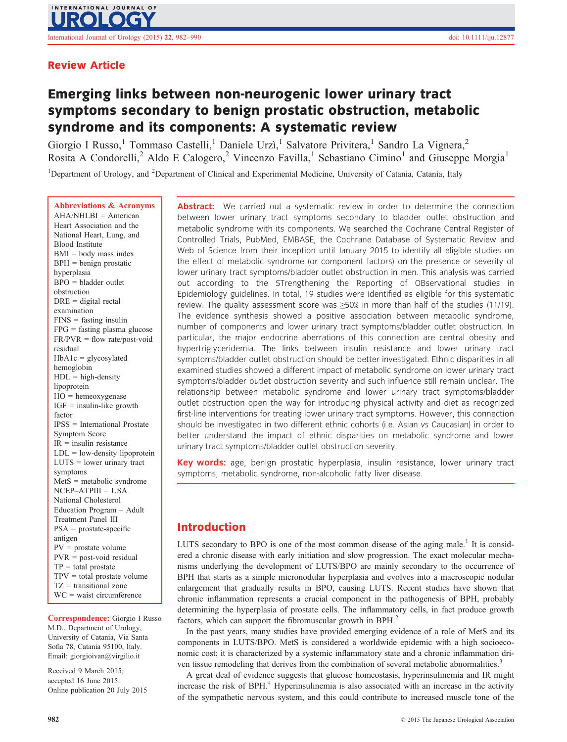# Emerging links between non-neurogenic lower urinary tract symptoms secondary to benign prostatic obstruction, metabolic syndrome and its components: A systematic review

Giorgio I Russo,<sup>1</sup> Tommaso Castelli,<sup>1</sup> Daniele Urzì,<sup>1</sup> Salvatore Privitera,<sup>1</sup> Sandro La Vignera,<sup>2</sup> Rosita A Condorelli,<sup>2</sup> Aldo E Calogero,<sup>2</sup> Vincenzo Favilla,<sup>1</sup> Sebastiano Cimino<sup>1</sup> and Giuseppe Morgia<sup>1</sup> <sup>1</sup>Department of Urology, and <sup>2</sup>Department of Clinical and Experimental Medicine, University of Catania, Catania, Italy

Abbreviations & Acronyms  $AHA/NHLBI = American$ Heart Association and the National Heart, Lung, and Blood Institute BMI = body mass index BPH = benign prostatic hyperplasia BPO = bladder outlet obstruction DRE = digital rectal examination FINS = fasting insulin FPG = fasting plasma glucose FR/PVR = flow rate/post-void residual  $HbA1c = glycosylated$ hemoglobin  $HDL = high-density$ lipoprotein  $HO =$  hemeoxygenase  $IGF =$  insulin-like growth factor IPSS = International Prostate Symptom Score  $IR =$  insulin resistance  $LDL = low-density lipoprotein$ LUTS = lower urinary tract symptoms MetS = metabolic syndrome NCEP–ATPIII = USA National Cholesterol Education Program – Adult Treatment Panel III PSA = prostate-specific antigen PV = prostate volume PVR = post-void residual  $TP = total$  prostate  $TPV = total\ prostate\ volume$ TZ = transitional zone WC = waist circumference

Correspondence: Giorgio I Russo M.D., Department of Urology, University of Catania, Via Santa Sofia 78, Catania 95100, Italy. Email: giorgioivan@virgilio.it

Received 9 March 2015; accepted 16 June 2015. Online publication 20 July 2015 Abstract: We carried out a systematic review in order to determine the connection between lower urinary tract symptoms secondary to bladder outlet obstruction and metabolic syndrome with its components. We searched the Cochrane Central Register of Controlled Trials, PubMed, EMBASE, the Cochrane Database of Systematic Review and Web of Science from their inception until January 2015 to identify all eligible studies on the effect of metabolic syndrome (or component factors) on the presence or severity of lower urinary tract symptoms/bladder outlet obstruction in men. This analysis was carried out according to the STrengthening the Reporting of OBservational studies in Epidemiology guidelines. In total, 19 studies were identified as eligible for this systematic review. The quality assessment score was ≥50% in more than half of the studies (11/19). The evidence synthesis showed a positive association between metabolic syndrome, number of components and lower urinary tract symptoms/bladder outlet obstruction. In particular, the major endocrine aberrations of this connection are central obesity and hypertriglyceridemia. The links between insulin resistance and lower urinary tract symptoms/bladder outlet obstruction should be better investigated. Ethnic disparities in all examined studies showed a different impact of metabolic syndrome on lower urinary tract symptoms/bladder outlet obstruction severity and such influence still remain unclear. The relationship between metabolic syndrome and lower urinary tract symptoms/bladder outlet obstruction open the way for introducing physical activity and diet as recognized first-line interventions for treating lower urinary tract symptoms. However, this connection should be investigated in two different ethnic cohorts (i.e. Asian vs Caucasian) in order to better understand the impact of ethnic disparities on metabolic syndrome and lower urinary tract symptoms/bladder outlet obstruction severity.

Key words: age, benign prostatic hyperplasia, insulin resistance, lower urinary tract symptoms, metabolic syndrome, non-alcoholic fatty liver disease.

# Introduction

LUTS secondary to BPO is one of the most common disease of the aging male.<sup>1</sup> It is considered a chronic disease with early initiation and slow progression. The exact molecular mechanisms underlying the development of LUTS/BPO are mainly secondary to the occurrence of BPH that starts as a simple micronodular hyperplasia and evolves into a macroscopic nodular enlargement that gradually results in BPO, causing LUTS. Recent studies have shown that chronic inflammation represents a crucial component in the pathogenesis of BPH, probably determining the hyperplasia of prostate cells. The inflammatory cells, in fact produce growth factors, which can support the fibromuscular growth in  $BPH<sup>2</sup>$ .

In the past years, many studies have provided emerging evidence of a role of MetS and its components in LUTS/BPO. MetS is considered a worldwide epidemic with a high socioeconomic cost; it is characterized by a systemic inflammatory state and a chronic inflammation driven tissue remodeling that derives from the combination of several metabolic abnormalities.<sup>3</sup>

A great deal of evidence suggests that glucose homeostasis, hyperinsulinemia and IR might increase the risk of  $BPH$ .<sup>4</sup> Hyperinsulinemia is also associated with an increase in the activity of the sympathetic nervous system, and this could contribute to increased muscle tone of the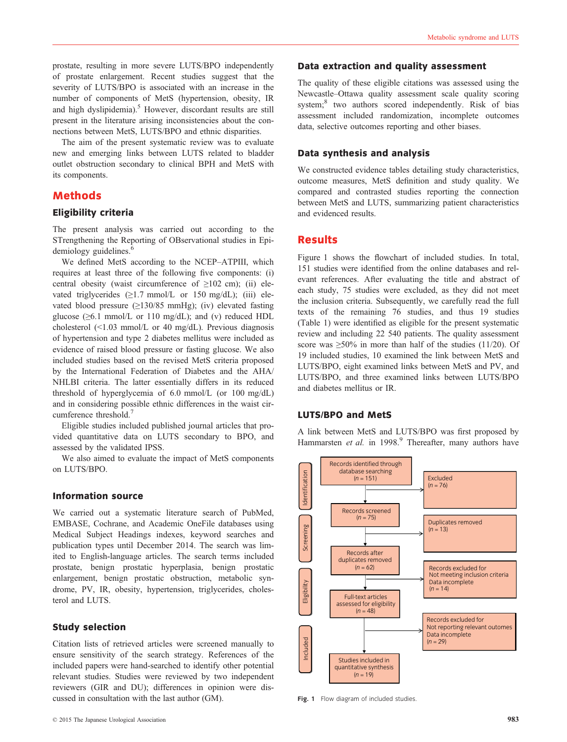prostate, resulting in more severe LUTS/BPO independently of prostate enlargement. Recent studies suggest that the severity of LUTS/BPO is associated with an increase in the number of components of MetS (hypertension, obesity, IR and high dyslipidemia).<sup>5</sup> However, discordant results are still present in the literature arising inconsistencies about the connections between MetS, LUTS/BPO and ethnic disparities.

The aim of the present systematic review was to evaluate new and emerging links between LUTS related to bladder outlet obstruction secondary to clinical BPH and MetS with its components.

## Methods

#### Eligibility criteria

The present analysis was carried out according to the STrengthening the Reporting of OBservational studies in Epidemiology guidelines.<sup>6</sup>

We defined MetS according to the NCEP–ATPIII, which requires at least three of the following five components: (i) central obesity (waist circumference of  $\geq 102$  cm); (ii) elevated triglycerides  $(\geq 1.7 \text{ mmol/L or } 150 \text{ mg/dL})$ ; (iii) elevated blood pressure (≥130/85 mmHg); (iv) elevated fasting glucose  $(\geq 6.1 \text{ mmol/L or } 110 \text{ mg/dL})$ ; and (v) reduced HDL cholesterol (<1.03 mmol/L or 40 mg/dL). Previous diagnosis of hypertension and type 2 diabetes mellitus were included as evidence of raised blood pressure or fasting glucose. We also included studies based on the revised MetS criteria proposed by the International Federation of Diabetes and the AHA/ NHLBI criteria. The latter essentially differs in its reduced threshold of hyperglycemia of 6.0 mmol/L (or 100 mg/dL) and in considering possible ethnic differences in the waist circumference threshold.<sup>7</sup>

Eligible studies included published journal articles that provided quantitative data on LUTS secondary to BPO, and assessed by the validated IPSS.

We also aimed to evaluate the impact of MetS components on LUTS/BPO.

#### Information source

We carried out a systematic literature search of PubMed, EMBASE, Cochrane, and Academic OneFile databases using Medical Subject Headings indexes, keyword searches and publication types until December 2014. The search was limited to English-language articles. The search terms included prostate, benign prostatic hyperplasia, benign prostatic enlargement, benign prostatic obstruction, metabolic syndrome, PV, IR, obesity, hypertension, triglycerides, cholesterol and LUTS.

#### Study selection

Citation lists of retrieved articles were screened manually to ensure sensitivity of the search strategy. References of the included papers were hand-searched to identify other potential relevant studies. Studies were reviewed by two independent reviewers (GIR and DU); differences in opinion were discussed in consultation with the last author (GM).

#### Data extraction and quality assessment

The quality of these eligible citations was assessed using the Newcastle–Ottawa quality assessment scale quality scoring system;<sup>8</sup> two authors scored independently. Risk of bias assessment included randomization, incomplete outcomes data, selective outcomes reporting and other biases.

#### Data synthesis and analysis

We constructed evidence tables detailing study characteristics, outcome measures, MetS definition and study quality. We compared and contrasted studies reporting the connection between MetS and LUTS, summarizing patient characteristics and evidenced results.

#### Results

Figure 1 shows the flowchart of included studies. In total, 151 studies were identified from the online databases and relevant references. After evaluating the title and abstract of each study, 75 studies were excluded, as they did not meet the inclusion criteria. Subsequently, we carefully read the full texts of the remaining 76 studies, and thus 19 studies (Table 1) were identified as eligible for the present systematic review and including 22 540 patients. The quality assessment score was  $\geq 50\%$  in more than half of the studies (11/20). Of 19 included studies, 10 examined the link between MetS and LUTS/BPO, eight examined links between MetS and PV, and LUTS/BPO, and three examined links between LUTS/BPO and diabetes mellitus or IR.

#### LUTS/BPO and MetS

A link between MetS and LUTS/BPO was first proposed by Hammarsten et al. in  $1998$ .<sup>9</sup> Thereafter, many authors have



Fig. 1 Flow diagram of included studies.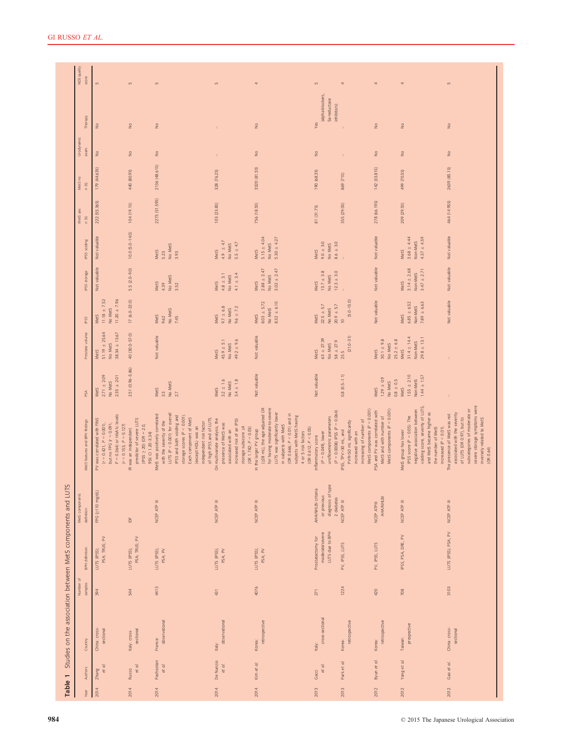| NOS quality<br>score           | $\mathfrak{m}$                                                                                                                                | $\omega$                                                                                              | LŊ                                                                                                                                                                                                                                                                    | $\mathfrak{m}$                                                                                                                                            | $\Rightarrow$                                                                                                                                                                                                                                                 | $\omega$                                                                                                     | $\Rightarrow$                                                                                                                    | 4                                                                                          | $\Rightarrow$                                                                                                                                                                | $\mathfrak{t}\mathfrak{0}$                                                                                                                                                             |
|--------------------------------|-----------------------------------------------------------------------------------------------------------------------------------------------|-------------------------------------------------------------------------------------------------------|-----------------------------------------------------------------------------------------------------------------------------------------------------------------------------------------------------------------------------------------------------------------------|-----------------------------------------------------------------------------------------------------------------------------------------------------------|---------------------------------------------------------------------------------------------------------------------------------------------------------------------------------------------------------------------------------------------------------------|--------------------------------------------------------------------------------------------------------------|----------------------------------------------------------------------------------------------------------------------------------|--------------------------------------------------------------------------------------------|------------------------------------------------------------------------------------------------------------------------------------------------------------------------------|----------------------------------------------------------------------------------------------------------------------------------------------------------------------------------------|
| Therapy                        |                                                                                                                                               |                                                                                                       |                                                                                                                                                                                                                                                                       |                                                                                                                                                           |                                                                                                                                                                                                                                                               | (alpha-blockers,<br>5a-reductase<br>inhibitors)                                                              |                                                                                                                                  |                                                                                            |                                                                                                                                                                              |                                                                                                                                                                                        |
|                                | $\gtrsim$                                                                                                                                     | $\stackrel{\circ}{\geq}$                                                                              | $\stackrel{\circ}{\geq}$                                                                                                                                                                                                                                              |                                                                                                                                                           | $\stackrel{\circ}{\geq}$                                                                                                                                                                                                                                      | Yes                                                                                                          |                                                                                                                                  | $\frac{1}{2}$                                                                              | $\frac{1}{2}$                                                                                                                                                                | $\gtrsim$                                                                                                                                                                              |
| Urodynamic<br>exam             | $\gtrsim$                                                                                                                                     | $\stackrel{\circ}{\geq}$                                                                              | $\frac{\circ}{\sim}$                                                                                                                                                                                                                                                  | $\overline{1}$                                                                                                                                            | $\stackrel{\circ}{\geq}$                                                                                                                                                                                                                                      | $\stackrel{\circ}{\geq}$                                                                                     | $\overline{1}$                                                                                                                   | $\frac{1}{2}$                                                                              | $\frac{0}{2}$                                                                                                                                                                | $\gtrsim$                                                                                                                                                                              |
| MetS no<br>$n \, \, \%$        | 179 (44.63%)                                                                                                                                  | 440 (80.9%)                                                                                           | 2136 (48.61%)                                                                                                                                                                                                                                                         | 328 (76.2%)                                                                                                                                               | 3320 (81.5%)                                                                                                                                                                                                                                                  | 190 (68.3%)                                                                                                  | 869 (71%)                                                                                                                        | 142 (33.81%)                                                                               | 499 (70.5%)                                                                                                                                                                  | 2639 (85.1%)                                                                                                                                                                           |
| MetS yes<br>$n~\!\!/\!\!2$     | 222 (55.36%)                                                                                                                                  | 104 (19.1%)                                                                                           | 2273 [51.59%]                                                                                                                                                                                                                                                         | 103 (23.8%)                                                                                                                                               | 756 (18.5%)                                                                                                                                                                                                                                                   | 81 (31.7%)                                                                                                   | 355 (29.0%)                                                                                                                      | 278 (66.19%)                                                                               | 209 (29.5%)                                                                                                                                                                  | 464 (14.95%)                                                                                                                                                                           |
| IPSS voiding                   | Not valuable                                                                                                                                  | $10.0 (5.0 - 14.0)$                                                                                   | No MetS<br>MetS<br>5.23<br>3.93                                                                                                                                                                                                                                       | $4.9 \pm 4.7$<br>$5.5 \pm 4.7$<br>No MetS<br>MetS                                                                                                         | $5.15 \pm 4.04$<br>$5.30 \pm 4.27$<br>No MetS<br>MetS                                                                                                                                                                                                         | $9.0 + 3.0$<br>$8.6 \pm 3.0$<br>No MetS<br>MetS                                                              |                                                                                                                                  | Not valuable                                                                               | $3.68 \pm 4.44$<br>$4.37 \pm 4.59$<br>Non-MetS<br>MetS                                                                                                                       | Not valuable                                                                                                                                                                           |
| IPSS storage                   | Not valuable                                                                                                                                  | 5.5 (2.0-9.0)                                                                                         | No MetS<br>MetS<br>4.39<br>3.52                                                                                                                                                                                                                                       | $4.1 \pm 3.4$<br>$4.8 \pm 3.1$<br>No MetS<br>MetS                                                                                                         | $2.88 \pm 2.47$<br>$3.02 + 2.47$<br>No MetS<br>MetS                                                                                                                                                                                                           | $13.7 \pm 3.8$<br>$12.3 \pm 3.0$<br>No MetS<br>MetS                                                          |                                                                                                                                  | Not valuable                                                                               | $3.14 \pm 2.68$<br>$3.47 + 2.71$<br>Non-MetS<br>MetS                                                                                                                         | Not valuable                                                                                                                                                                           |
| IP <sub>SS</sub>               | $11.20 \pm 7.96$<br>$11.18 + 7.52$<br>No MetS<br>MetS                                                                                         | $17(6.0 - 22.0)$                                                                                      | No MetS<br>MetS<br>9.62<br>7.45                                                                                                                                                                                                                                       | $9.7 \pm 6.8$<br>$9.6 \pm 7.2$<br>No MetS<br>MetS                                                                                                         | $8.03 + 5.72$<br>$8.32 + 6.10$<br>No MetS<br>MetS                                                                                                                                                                                                             | $22.5 \pm 5.7$<br>$20.9 \pm 5.7$<br>No MetS<br>MetS                                                          | $(5.0 - 15.0)$<br>$\frac{1}{2}$                                                                                                  | Not valuable                                                                               | $6.85 + 6.52$<br>$7.89 \pm 6.63$<br>Non-MetS<br>MetS                                                                                                                         | Not valuable                                                                                                                                                                           |
| Prostate volume                | $38.34 \pm 13.67$<br>$51.19 \pm 25.64$<br>No MetS<br>MetS                                                                                     | 40 (30.0-57.0)                                                                                        | Not valuable                                                                                                                                                                                                                                                          | $45.9 \pm 5.1$<br>$49.2 + 9.6$<br>No MetS<br>MetS                                                                                                         | Not valuable                                                                                                                                                                                                                                                  | $63 + 27.39$<br>$58 + 27.9$<br>No MetS<br>MetS                                                               | $(21.0 - 31)$<br>25.5                                                                                                            | $30.1 \pm 9.8$<br>$25.2 \pm 6.8$<br>No MetS<br>MetS                                        | $31.4 \pm 14.4$<br>$29.8 \pm 13.1$<br>Non-MetS<br>MetS                                                                                                                       |                                                                                                                                                                                        |
| PSA                            | $2.71 + 2.09$<br>$2.35 + 2.01$<br>No MetS<br>MetS                                                                                             | $2.51 (0.96 - 5.86)$                                                                                  | No MetS<br>MetS<br>$3.\overline{3}$<br>2.7                                                                                                                                                                                                                            | $3.2 \pm 1.6$<br>$3.4 \pm 1.8$<br>No MetS<br>MetS                                                                                                         | Not valuable                                                                                                                                                                                                                                                  | Not valuable                                                                                                 | $0.8(0.5 - 1.1)$                                                                                                                 | $1.29 \pm 0.9$<br>$0.8\pm0.5$<br>No MetS<br>MetS                                           | $1.55 \pm 2.10$<br>$1.44 \pm 1.57$<br>Non-MetS<br>MetS                                                                                                                       |                                                                                                                                                                                        |
| MetS features and BPH findings | $P = 0.364$ or HbA1c levels<br>PV was correlated with FINS<br>$(r = 0.421, P = 0.001),$<br>but no FPG $(r = 0.091)$<br>$y = 0.153, P = 0.127$ | predictor of severe LUTS<br>$(IPS5 \geq 20)$ (OR = 2.0,<br>IR was an independent<br>95% CI 1.20-3.34) | LUTS $(P < 0.001)$ for overall<br>MetS was positively correlated<br>storage scores ( $P < 0.001$ ).<br>IPSS and both voiding and<br>Each component of MetS<br>of high IPSS and of LUTS.<br>with the severity of the<br>independent risk factor<br>(except HDL) was an | On multivariate analysis, the<br>increased risk of an IPSS<br>presence of MetS was<br>storage subscore >4<br>$(OR 1.782; P = 0.03)$<br>associated with an | E28 mL), the age-adjusted OR<br>for having moderate-to-severe<br>LUTS was significantly lower<br>$(OR 0.666; P < 0.01)$ and in<br>subjects with MetS having<br>in subjects with MetS<br>(OR 0.612; P < 0.05)<br>In the larger PV group<br>4 or 5 risk factors | $(P = 0.0008)$ IPSS $(P = 0.064)$<br>uroflowmetric parameters<br>$(P = 0.049)$ , lower<br>Inflammatory score | MetS components $(P < 0.001)$<br>increasing of number of<br>PVR>50 mL significantly<br>IPSS, TPV>30 mL, and<br>increased with an | MetS components $(P < 0.001)$<br>PSA and PV was correlated with<br>MetS and with number of | voiding score, severity of LUTS,<br>negative association between<br>and MetS became higher as<br>IPSS score $(P = 0.05)$ . The<br>the number of MetS<br>MetS group has lower | severe storage symptoms were<br>subcategories of moderate or<br>associated with the severity<br>The presence of MetS was not<br>of LUTS (OR 0.97), but its<br>increased $(P < 0.01)$ . |
| MetS components<br>definition  | FPG [2110 mg/dL]                                                                                                                              | $\stackrel{\scriptscriptstyle \!}{\uncorner}$                                                         | NCEP ATP III                                                                                                                                                                                                                                                          | NCEP ATP III                                                                                                                                              | NCEP ATP III                                                                                                                                                                                                                                                  | diagnosis of type<br>AHA/NHLBI criteria<br>or previous<br>2 diabetes                                         | NCEP ATP III                                                                                                                     | AHA/NHLBI<br>NCEP ATPIII                                                                   | NCEP ATP III                                                                                                                                                                 | NCEP ATP III                                                                                                                                                                           |
| BPH definition                 | PSA; TRUS; PV<br>LUTS (IPSS);                                                                                                                 | PSA; TRUS; PV<br>LUTS (IPSS);                                                                         | PSA; PV<br>LUTS (IPSS);                                                                                                                                                                                                                                               | LUTS (IPSS);<br>PSA; PV                                                                                                                                   | LUTS (IPSS);<br>PSA; PV                                                                                                                                                                                                                                       | moderate/severe<br>LUTS due to BPH<br>Prostatectomy for                                                      | PV, IPSS, LUTS                                                                                                                   | PV, IPSS, LUTS                                                                             | IPSS, PSA, DRE, PV                                                                                                                                                           | LUTS (IPSS); PSA; PV                                                                                                                                                                   |
| Number of<br>samples           | 394                                                                                                                                           | 544                                                                                                   | 4413                                                                                                                                                                                                                                                                  | 431                                                                                                                                                       | 4076                                                                                                                                                                                                                                                          | 271                                                                                                          | 1224                                                                                                                             | 420                                                                                        | 708                                                                                                                                                                          | 3103                                                                                                                                                                                   |
| Country                        | China: cross-<br>sectional                                                                                                                    | sectional<br>Italy: cross-                                                                            | observational<br>France:                                                                                                                                                                                                                                              | observational<br>Italy:                                                                                                                                   | retrospective<br>Korea:                                                                                                                                                                                                                                       | cross-sectional<br>Italy:                                                                                    | retrospective<br>Korea:                                                                                                          | retrospective<br>Korea:                                                                    | prospective<br>Taiwan:                                                                                                                                                       | China: cross-<br>sectional                                                                                                                                                             |
| Authors                        | et al.<br>Zhang                                                                                                                               | et al.<br><b>Russo</b>                                                                                | Pashootan<br>et al.                                                                                                                                                                                                                                                   | De Nunzio<br>et al.                                                                                                                                       | Kim et al.                                                                                                                                                                                                                                                    | et al.<br>Gacci                                                                                              | Park et al.                                                                                                                      | Byun et al.                                                                                | Yang et al.                                                                                                                                                                  | Gao et al.                                                                                                                                                                             |
| ear                            | 2014                                                                                                                                          | 2014                                                                                                  | 2014                                                                                                                                                                                                                                                                  | 2014                                                                                                                                                      | 2014                                                                                                                                                                                                                                                          | 2013                                                                                                         | 2013                                                                                                                             | 2012                                                                                       | 2012                                                                                                                                                                         | 2012                                                                                                                                                                                   |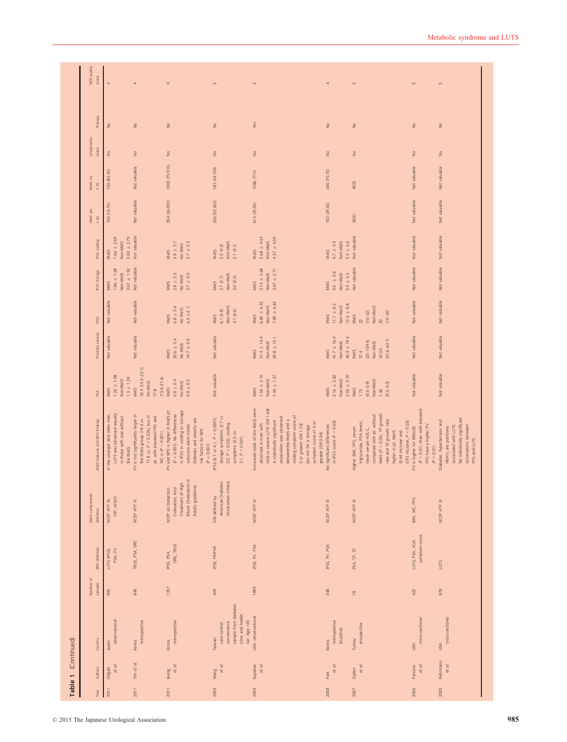| Year | Authors            | Country                                                                                              | Number of<br>samples | BPH definition                  | Met5 components<br>definition                                                                           | Met5 features and BPH findings                                                                                                                                                                                                                                                                             | PSA                                                                   | Prostate volume                                                        | IPSS                                                                        | IPSS storage                                           | IPSS voiding                                           | MetS yes<br>$n\,\%$ | Met5 no<br>$n\,\%$ | Urodynamic<br>exam       | Therapy                  | NOS quality<br>score |
|------|--------------------|------------------------------------------------------------------------------------------------------|----------------------|---------------------------------|---------------------------------------------------------------------------------------------------------|------------------------------------------------------------------------------------------------------------------------------------------------------------------------------------------------------------------------------------------------------------------------------------------------------------|-----------------------------------------------------------------------|------------------------------------------------------------------------|-----------------------------------------------------------------------------|--------------------------------------------------------|--------------------------------------------------------|---------------------|--------------------|--------------------------|--------------------------|----------------------|
| 2011 | et al.<br>Ohgaki   | observational<br>Japan:                                                                              | 900                  | LUTS (IPSS);<br>PSA; PV         | IDF; JASSO<br>NCEP ATP III;                                                                             | LUTS was observed equally<br>In the younger and older men,<br>in those with and without<br>the MetS                                                                                                                                                                                                        | $1.22 \pm 1.08$<br>$1.3 \pm 1.29$<br>Non-MetS<br>MetS                 | Not valuable                                                           | Not valuable                                                                | $2.07 \pm 1.93$<br>$1.86 \pm 1.68$<br>Non-MetS<br>MetS | $1.66 \pm 2.59$<br>$2.00 + 2.79$<br>Non-MetS<br>MetS   | 150 (16.7%)         | 750 (83.3%)        | $\stackrel{\circ}{\geq}$ | $\gtrsim$                | $\overline{a}$       |
| 2011 | Yim et al.         | retrospective<br>Korea:                                                                              | 848                  | TRUS, PSA, DRE                  | NCEP ATP III                                                                                            | PV is not significantly larger in<br>17.8 cc; $P = 0.225$ ), but in<br>pt. with elevated FPG and<br>the MetS group (18.4 vs<br>WC is $(P = 0.001)$                                                                                                                                                         | 18.4 (14.3-23.1)<br>$(13.6 - 21.6)$<br>No MetS<br><b>MetS</b><br>17.8 | Not valuable                                                           | Not valuable                                                                | Not valuable                                           | Not valuable                                           | Not valuable        | Not valuable       | $\gtrsim$                | $\stackrel{\circ}{\geq}$ | 4                    |
| 2011 | et al.<br>Buoar    | retrospective<br>Korea:                                                                              | 1357                 | DRE, TRUS<br>IPSS, PSA,         | Blood Cholesterol in<br>Treatment of High<br>Adults guidelines<br>NCEP on Detection,<br>Evaluation, And | PV and BPE is higher in MetS pt<br>in IPSS or voiding or storage<br>(P < 0.001). No differences<br>Diabetes and obesity are<br>subscore were noted.<br>risk factors for BPE<br>$(P < 0.001)$ .                                                                                                             | $0.8 \pm 0.4$<br>$0.9 \pm 0.5$<br>No MetS<br>MetS                     | $20.6 \pm 5.4$<br>$19.7 \pm 5.0$<br>No MetS<br>MetS                    | $6.8 \pm 5.6$<br>$6.5 + 4.7$<br>No MetS<br>MetS                             | $2.8 \pm 2.5$<br>$2.7 \pm 2.0$<br>No MetS<br>MetS      | $3.9 + 3.7$<br>$3.7 + 3.3$<br>No MetS<br>MetS          | 354 (26.09%)        | 1003 (73.91%)      | $\gtrsim$                | $\stackrel{\circ}{\geq}$ | 4                    |
| 2009 | et al.<br>Wang     | sample from diabetes<br>clinic and health<br>fair. Age <45<br>convenience<br>case-control<br>Taiwan: | 409                  | IPSS; FR/PVR                    | Association criteria<br>American Diabetes<br>DM defined by                                              | storage symptoms (2.7 vs<br>PSS $[6.1 \text{ is } 4.1, P = 0,0001]$ ,<br>$2.0, P = 0.02$ ), voiding<br>symptoms (3.5 vs<br>2.1, P < 0.001                                                                                                                                                                  | Not valuable                                                          | Not valuable                                                           | Non-MetS<br>6.1(5.8)<br>4.1(4.6)<br>MetS                                    | Non-MetS<br>2.7(2.7)<br>2.0(2.2)<br>MetS               | Non-MetS<br>2.1(3.1)<br>3.5(4.2)<br>MetS               | 226 (55.26%)        | 183 (44.74%)       | $\frac{1}{2}$            | $\stackrel{\circ}{\geq}$ | $\mathfrak{t}$       |
| 2009 | Kupelian<br>et al. | USA: observational                                                                                   | 1899                 | IPSS; PV; PSA                   | NCEP ATP III                                                                                            | Increased odds of the MetS were<br>mild to severe LUTS (OR 1.68)<br>voiding symptom score of<br>association was observed<br>betweenthe MetS and a<br>A statistically significant<br>symptom score of 4 or<br>observed in men with<br>5 or greater (OR 1.73)<br>but not for a storage<br>greater (OR 0.94). | $1.55 \pm 2.10$<br>$1.44 \pm 1.57$<br>Non-MetS<br>MetS                | $31.4 \pm 14.4$<br>$29.8 \pm 13.1$<br>Non-MetS<br>MetS                 | $6.85 + 6.52$<br>$7.89 \pm 6.63$<br>Non-MetS<br>MetS                        | $3.14 \pm 2.68$<br>$3.47 \pm 2.71$<br>Non-MetS<br>MetS | $3.68 \pm 4.44$<br>$4.37 \pm 4.59$<br>Non-MetS<br>MetS | 613 (29.0%)         | 1286 (71%)         | $\stackrel{\circ}{\geq}$ | Yes                      | LŊ                   |
| 2008 | et al.<br>Park     | retrospective<br>(KLoSHA)<br>Korea:                                                                  | 348                  | IPSS, PV, PSA                   | NCEP ATP III                                                                                            | in IPSS score ( $P > 0.05$ )<br>No significant differences                                                                                                                                                                                                                                                 | $2.16 \pm 2.82$<br>$2.03 + 2.70$<br>Non-Met5<br>MetS                  | $41.7 \pm 16.4$<br>$40.4 \pm 19.4$<br>Non-Met5<br>MetS                 | $11.1 \pm 8.2$<br>$12.3 \pm 8.8$<br>Non-Met5<br>MetS                        | $5.0 \pm 3.6$<br>$5.4 \pm 3.5$<br>Non-MetS<br>MetS     | $4.7 \pm 4.3$<br>Non-MetS<br>$5.3 \pm 4.6$<br>MetS     | 102 (29.3%)         | 246 (70.7%)        | $\gtrsim$                | $\gtrsim$                | 4                    |
| 2007 | et al.<br>Ozden    | prospective<br>Turkey:                                                                               | 78                   | PSA, TP, TZ                     | NCEP ATP III                                                                                            | MetS $(P < 0.05)$ . TP growth<br>compared with pt. without<br>rate and TZ growth rate<br>0.93 mL/year, $P < 0.05$ ).<br>triglyceride, PSA levels,<br>Higher BMI, FPG, serum<br>lower serum HDL-C,<br>higher in pt. MetS<br>(0.64 mLyear and                                                                | Non-MetS<br>$(0.5 - 3.9)$<br>$(0.2 - 4.0)$<br>MetS<br>1.46<br>1.73    | $(21.6 - 63.1)$<br>$(23 - 109.4)$<br>Non-MetS<br>32.04<br>MetS<br>37.4 | Non-MetS<br>$(10 - 32)$<br>$(10-33)$<br>MetS<br>$\overline{2}$<br>$\approx$ | Not valuable                                           | Not valuable                                           | 38(%)               | 40(%)              | $\stackrel{\circ}{\geq}$ | $\frac{\circ}{\circ}$    | $\mathfrak{m}$       |
| 2006 | et al.<br>Parsons  | cross-sectional<br>USA:                                                                              | 422                  | symptom score<br>LUTS, PSA, AUA | BMI, WC, FPG                                                                                            | $(P = 0.01)$ . Men with elevated<br>FPG have a higher PV<br>PV is higher for BMI≥35<br>$(P = 0.01)$ .                                                                                                                                                                                                      | Not valuable                                                          | Not valuable                                                           | Not valuable                                                                | Not valuable                                           | Not valuable                                           | Not valuable        | Not valuable       | $\frac{1}{2}$            | $\frac{1}{2}$            | $\mathfrak{t}$       |
| 2005 | Rohrmann<br>et al. | cross-sectional<br>USA:                                                                              | 878                  | LUTS                            | NCEP ATP III                                                                                            | No statistically significant<br>Diabetes, hypertension and<br>associated with LUTS.<br>associations between<br>HbA1c are positively<br>FPG and LUTS.                                                                                                                                                       | Not valuable                                                          | Not valuable                                                           | Not valuable                                                                | Not valuable                                           | Not valuable                                           | Not valuable        | Not valuable       | $\stackrel{\circ}{\geq}$ | $\stackrel{\circ}{\geq}$ | $\mathsf{L}\cap$     |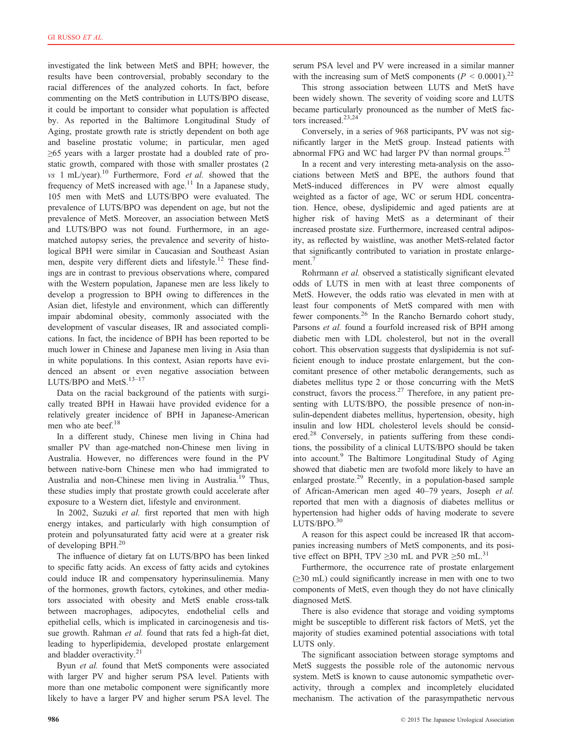investigated the link between MetS and BPH; however, the results have been controversial, probably secondary to the racial differences of the analyzed cohorts. In fact, before commenting on the MetS contribution in LUTS/BPO disease, it could be important to consider what population is affected by. As reported in the Baltimore Longitudinal Study of Aging, prostate growth rate is strictly dependent on both age and baseline prostatic volume; in particular, men aged ≥65 years with a larger prostate had a doubled rate of prostatic growth, compared with those with smaller prostates (2 vs 1 mL/year).<sup>10</sup> Furthermore, Ford *et al.* showed that the frequency of MetS increased with age.<sup>11</sup> In a Japanese study, 105 men with MetS and LUTS/BPO were evaluated. The prevalence of LUTS/BPO was dependent on age, but not the prevalence of MetS. Moreover, an association between MetS and LUTS/BPO was not found. Furthermore, in an agematched autopsy series, the prevalence and severity of histological BPH were similar in Caucasian and Southeast Asian men, despite very different diets and lifestyle.<sup>12</sup> These findings are in contrast to previous observations where, compared with the Western population, Japanese men are less likely to develop a progression to BPH owing to differences in the Asian diet, lifestyle and environment, which can differently impair abdominal obesity, commonly associated with the development of vascular diseases, IR and associated complications. In fact, the incidence of BPH has been reported to be much lower in Chinese and Japanese men living in Asia than in white populations. In this context, Asian reports have evidenced an absent or even negative association between LUTS/BPO and MetS.<sup>13-17</sup>

Data on the racial background of the patients with surgically treated BPH in Hawaii have provided evidence for a relatively greater incidence of BPH in Japanese-American men who ate beef.<sup>18</sup>

In a different study, Chinese men living in China had smaller PV than age-matched non-Chinese men living in Australia. However, no differences were found in the PV between native-born Chinese men who had immigrated to Australia and non-Chinese men living in Australia.<sup>19</sup> Thus, these studies imply that prostate growth could accelerate after exposure to a Western diet, lifestyle and environment.

In 2002, Suzuki et al. first reported that men with high energy intakes, and particularly with high consumption of protein and polyunsaturated fatty acid were at a greater risk of developing BPH.20

The influence of dietary fat on LUTS/BPO has been linked to specific fatty acids. An excess of fatty acids and cytokines could induce IR and compensatory hyperinsulinemia. Many of the hormones, growth factors, cytokines, and other mediators associated with obesity and MetS enable cross-talk between macrophages, adipocytes, endothelial cells and epithelial cells, which is implicated in carcinogenesis and tissue growth. Rahman et al. found that rats fed a high-fat diet, leading to hyperlipidemia, developed prostate enlargement and bladder overactivity.<sup>21</sup>

Byun et al. found that MetS components were associated with larger PV and higher serum PSA level. Patients with more than one metabolic component were significantly more likely to have a larger PV and higher serum PSA level. The serum PSA level and PV were increased in a similar manner with the increasing sum of MetS components ( $P \le 0.0001$ ).<sup>22</sup>

This strong association between LUTS and MetS have been widely shown. The severity of voiding score and LUTS became particularly pronounced as the number of MetS factors increased.<sup>23,24</sup>

Conversely, in a series of 968 participants, PV was not significantly larger in the MetS group. Instead patients with abnormal FPG and WC had larger PV than normal groups.<sup>25</sup>

In a recent and very interesting meta-analysis on the associations between MetS and BPE, the authors found that MetS-induced differences in PV were almost equally weighted as a factor of age, WC or serum HDL concentration. Hence, obese, dyslipidemic and aged patients are at higher risk of having MetS as a determinant of their increased prostate size. Furthermore, increased central adiposity, as reflected by waistline, was another MetS-related factor that significantly contributed to variation in prostate enlargement.<sup>7</sup>

Rohrmann et al. observed a statistically significant elevated odds of LUTS in men with at least three components of MetS. However, the odds ratio was elevated in men with at least four components of MetS compared with men with fewer components.<sup>26</sup> In the Rancho Bernardo cohort study, Parsons et al. found a fourfold increased risk of BPH among diabetic men with LDL cholesterol, but not in the overall cohort. This observation suggests that dyslipidemia is not sufficient enough to induce prostate enlargement, but the concomitant presence of other metabolic derangements, such as diabetes mellitus type 2 or those concurring with the MetS construct, favors the process. $27$  Therefore, in any patient presenting with LUTS/BPO, the possible presence of non-insulin-dependent diabetes mellitus, hypertension, obesity, high insulin and low HDL cholesterol levels should be considered.<sup>28</sup> Conversely, in patients suffering from these conditions, the possibility of a clinical LUTS/BPO should be taken into account.<sup>9</sup> The Baltimore Longitudinal Study of Aging showed that diabetic men are twofold more likely to have an enlarged prostate.<sup>29</sup> Recently, in a population-based sample of African-American men aged 40–79 years, Joseph et al. reported that men with a diagnosis of diabetes mellitus or hypertension had higher odds of having moderate to severe LUTS/BPO.<sup>30</sup>

A reason for this aspect could be increased IR that accompanies increasing numbers of MetS components, and its positive effect on BPH, TPV  $\geq$ 30 mL and PVR  $\geq$ 50 mL.<sup>31</sup>

Furthermore, the occurrence rate of prostate enlargement (≥30 mL) could significantly increase in men with one to two components of MetS, even though they do not have clinically diagnosed MetS.

There is also evidence that storage and voiding symptoms might be susceptible to different risk factors of MetS, yet the majority of studies examined potential associations with total LUTS only.

The significant association between storage symptoms and MetS suggests the possible role of the autonomic nervous system. MetS is known to cause autonomic sympathetic overactivity, through a complex and incompletely elucidated mechanism. The activation of the parasympathetic nervous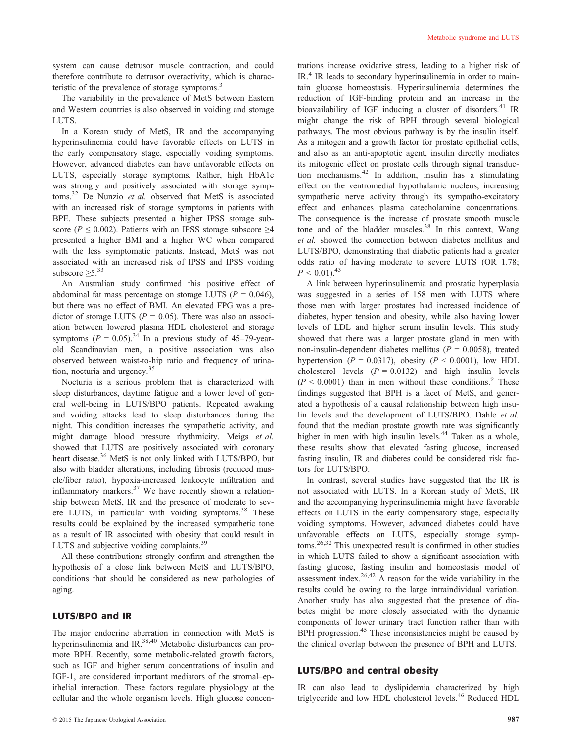system can cause detrusor muscle contraction, and could therefore contribute to detrusor overactivity, which is characteristic of the prevalence of storage symptoms.<sup>3</sup>

The variability in the prevalence of MetS between Eastern and Western countries is also observed in voiding and storage LUTS.

In a Korean study of MetS, IR and the accompanying hyperinsulinemia could have favorable effects on LUTS in the early compensatory stage, especially voiding symptoms. However, advanced diabetes can have unfavorable effects on LUTS, especially storage symptoms. Rather, high HbA1c was strongly and positively associated with storage symptoms.<sup>32</sup> De Nunzio et al. observed that MetS is associated with an increased risk of storage symptoms in patients with BPE. These subjects presented a higher IPSS storage subscore ( $P \le 0.002$ ). Patients with an IPSS storage subscore  $\ge 4$ presented a higher BMI and a higher WC when compared with the less symptomatic patients. Instead, MetS was not associated with an increased risk of IPSS and IPSS voiding subscore  $\geq 5.^{33}$ 

An Australian study confirmed this positive effect of abdominal fat mass percentage on storage LUTS ( $P = 0.046$ ), but there was no effect of BMI. An elevated FPG was a predictor of storage LUTS ( $P = 0.05$ ). There was also an association between lowered plasma HDL cholesterol and storage symptoms ( $P = 0.05$ ).<sup>34</sup> In a previous study of 45–79-yearold Scandinavian men, a positive association was also observed between waist-to-hip ratio and frequency of urination, nocturia and urgency.35

Nocturia is a serious problem that is characterized with sleep disturbances, daytime fatigue and a lower level of general well-being in LUTS/BPO patients. Repeated awaking and voiding attacks lead to sleep disturbances during the night. This condition increases the sympathetic activity, and might damage blood pressure rhythmicity. Meigs et al. showed that LUTS are positively associated with coronary heart disease.<sup>36</sup> MetS is not only linked with LUTS/BPO, but also with bladder alterations, including fibrosis (reduced muscle/fiber ratio), hypoxia-increased leukocyte infiltration and inflammatory markers. $37$  We have recently shown a relationship between MetS, IR and the presence of moderate to severe LUTS, in particular with voiding symptoms.<sup>38</sup> These results could be explained by the increased sympathetic tone as a result of IR associated with obesity that could result in LUTS and subjective voiding complaints.<sup>39</sup>

All these contributions strongly confirm and strengthen the hypothesis of a close link between MetS and LUTS/BPO, conditions that should be considered as new pathologies of aging.

## LUTS/BPO and IR

The major endocrine aberration in connection with MetS is hyperinsulinemia and IR.<sup>38,40</sup> Metabolic disturbances can promote BPH. Recently, some metabolic-related growth factors, such as IGF and higher serum concentrations of insulin and IGF-1, are considered important mediators of the stromal–epithelial interaction. These factors regulate physiology at the cellular and the whole organism levels. High glucose concen-

trations increase oxidative stress, leading to a higher risk of IR.4 IR leads to secondary hyperinsulinemia in order to maintain glucose homeostasis. Hyperinsulinemia determines the reduction of IGF-binding protein and an increase in the bioavailability of IGF inducing a cluster of disorders.<sup>41</sup> IR might change the risk of BPH through several biological pathways. The most obvious pathway is by the insulin itself. As a mitogen and a growth factor for prostate epithelial cells, and also as an anti-apoptotic agent, insulin directly mediates its mitogenic effect on prostate cells through signal transduction mechanisms.<sup>42</sup> In addition, insulin has a stimulating effect on the ventromedial hypothalamic nucleus, increasing sympathetic nerve activity through its sympatho-excitatory effect and enhances plasma catecholamine concentrations. The consequence is the increase of prostate smooth muscle tone and of the bladder muscles. $38$  In this context, Wang et al. showed the connection between diabetes mellitus and LUTS/BPO, demonstrating that diabetic patients had a greater odds ratio of having moderate to severe LUTS (OR 1.78;  $P < 0.01$ ).<sup>43</sup>

A link between hyperinsulinemia and prostatic hyperplasia was suggested in a series of 158 men with LUTS where those men with larger prostates had increased incidence of diabetes, hyper tension and obesity, while also having lower levels of LDL and higher serum insulin levels. This study showed that there was a larger prostate gland in men with non-insulin-dependent diabetes mellitus ( $P = 0.0058$ ), treated hypertension ( $P = 0.0317$ ), obesity ( $P \le 0.0001$ ), low HDL cholesterol levels  $(P = 0.0132)$  and high insulin levels  $(P < 0.0001)$  than in men without these conditions.<sup>9</sup> These findings suggested that BPH is a facet of MetS, and generated a hypothesis of a causal relationship between high insulin levels and the development of LUTS/BPO. Dahle et al. found that the median prostate growth rate was significantly higher in men with high insulin levels.<sup>44</sup> Taken as a whole, these results show that elevated fasting glucose, increased fasting insulin, IR and diabetes could be considered risk factors for LUTS/BPO.

In contrast, several studies have suggested that the IR is not associated with LUTS. In a Korean study of MetS, IR and the accompanying hyperinsulinemia might have favorable effects on LUTS in the early compensatory stage, especially voiding symptoms. However, advanced diabetes could have unfavorable effects on LUTS, especially storage symptoms.26,32 This unexpected result is confirmed in other studies in which LUTS failed to show a significant association with fasting glucose, fasting insulin and homeostasis model of assessment index.<sup>26,42</sup> A reason for the wide variability in the results could be owing to the large intraindividual variation. Another study has also suggested that the presence of diabetes might be more closely associated with the dynamic components of lower urinary tract function rather than with BPH progression.<sup>45</sup> These inconsistencies might be caused by the clinical overlap between the presence of BPH and LUTS.

#### LUTS/BPO and central obesity

IR can also lead to dyslipidemia characterized by high triglyceride and low HDL cholesterol levels.<sup>46</sup> Reduced HDL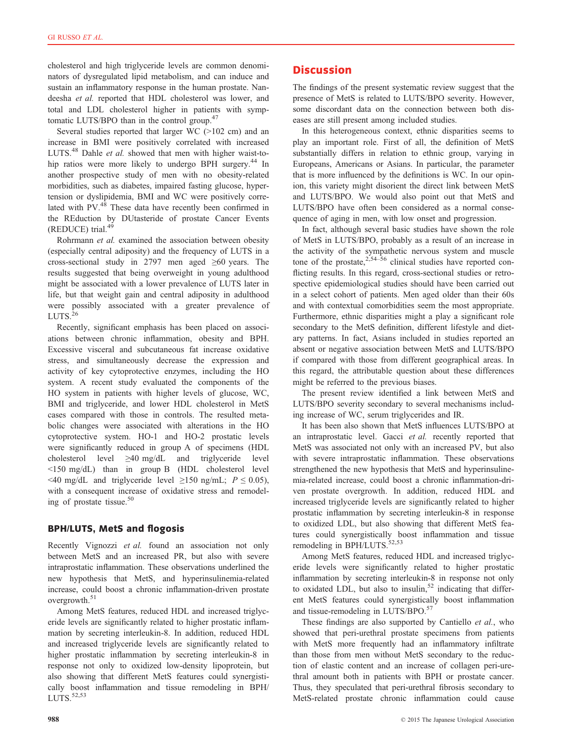cholesterol and high triglyceride levels are common denominators of dysregulated lipid metabolism, and can induce and sustain an inflammatory response in the human prostate. Nandeesha et al. reported that HDL cholesterol was lower, and total and LDL cholesterol higher in patients with symptomatic LUTS/BPO than in the control group.<sup>47</sup>

Several studies reported that larger WC (>102 cm) and an increase in BMI were positively correlated with increased LUTS.<sup>48</sup> Dahle et al. showed that men with higher waist-tohip ratios were more likely to undergo BPH surgery.<sup>44</sup> In another prospective study of men with no obesity-related morbidities, such as diabetes, impaired fasting glucose, hypertension or dyslipidemia, BMI and WC were positively correlated with PV.<sup>48</sup> These data have recently been confirmed in the REduction by DUtasteride of prostate Cancer Events (REDUCE) trial.<sup>49</sup>

Rohrmann et al. examined the association between obesity (especially central adiposity) and the frequency of LUTS in a cross-sectional study in 2797 men aged  $\geq 60$  years. The results suggested that being overweight in young adulthood might be associated with a lower prevalence of LUTS later in life, but that weight gain and central adiposity in adulthood were possibly associated with a greater prevalence of LUTS. $26$ 

Recently, significant emphasis has been placed on associations between chronic inflammation, obesity and BPH. Excessive visceral and subcutaneous fat increase oxidative stress, and simultaneously decrease the expression and activity of key cytoprotective enzymes, including the HO system. A recent study evaluated the components of the HO system in patients with higher levels of glucose, WC, BMI and triglyceride, and lower HDL cholesterol in MetS cases compared with those in controls. The resulted metabolic changes were associated with alterations in the HO cytoprotective system. HO-1 and HO-2 prostatic levels were significantly reduced in group A of specimens (HDL cholesterol level ≥40 mg/dL and triglyceride level <150 mg/dL) than in group B (HDL cholesterol level  $\leq$ 40 mg/dL and triglyceride level  $\geq$ 150 ng/mL;  $P \leq$  0.05), with a consequent increase of oxidative stress and remodeling of prostate tissue.<sup>50</sup>

#### BPH/LUTS, MetS and flogosis

Recently Vignozzi et al. found an association not only between MetS and an increased PR, but also with severe intraprostatic inflammation. These observations underlined the new hypothesis that MetS, and hyperinsulinemia-related increase, could boost a chronic inflammation-driven prostate overgrowth.<sup>51</sup>

Among MetS features, reduced HDL and increased triglyceride levels are significantly related to higher prostatic inflammation by secreting interleukin-8. In addition, reduced HDL and increased triglyceride levels are significantly related to higher prostatic inflammation by secreting interleukin-8 in response not only to oxidized low-density lipoprotein, but also showing that different MetS features could synergistically boost inflammation and tissue remodeling in BPH/ LUTS. $52,53$ 

The findings of the present systematic review suggest that the presence of MetS is related to LUTS/BPO severity. However, some discordant data on the connection between both diseases are still present among included studies.

In this heterogeneous context, ethnic disparities seems to play an important role. First of all, the definition of MetS substantially differs in relation to ethnic group, varying in Europeans, Americans or Asians. In particular, the parameter that is more influenced by the definitions is WC. In our opinion, this variety might disorient the direct link between MetS and LUTS/BPO. We would also point out that MetS and LUTS/BPO have often been considered as a normal consequence of aging in men, with low onset and progression.

In fact, although several basic studies have shown the role of MetS in LUTS/BPO, probably as a result of an increase in the activity of the sympathetic nervous system and muscle tone of the prostate,  $2,54-56$  clinical studies have reported conflicting results. In this regard, cross-sectional studies or retrospective epidemiological studies should have been carried out in a select cohort of patients. Men aged older than their 60s and with contextual comorbidities seem the most appropriate. Furthermore, ethnic disparities might a play a significant role secondary to the MetS definition, different lifestyle and dietary patterns. In fact, Asians included in studies reported an absent or negative association between MetS and LUTS/BPO if compared with those from different geographical areas. In this regard, the attributable question about these differences might be referred to the previous biases.

The present review identified a link between MetS and LUTS/BPO severity secondary to several mechanisms including increase of WC, serum triglycerides and IR.

It has been also shown that MetS influences LUTS/BPO at an intraprostatic level. Gacci et al. recently reported that MetS was associated not only with an increased PV, but also with severe intraprostatic inflammation. These observations strengthened the new hypothesis that MetS and hyperinsulinemia-related increase, could boost a chronic inflammation-driven prostate overgrowth. In addition, reduced HDL and increased triglyceride levels are significantly related to higher prostatic inflammation by secreting interleukin-8 in response to oxidized LDL, but also showing that different MetS features could synergistically boost inflammation and tissue remodeling in BPH/LUTS.<sup>52,53</sup>

Among MetS features, reduced HDL and increased triglyceride levels were significantly related to higher prostatic inflammation by secreting interleukin-8 in response not only to oxidated LDL, but also to insulin, $52$  indicating that different MetS features could synergistically boost inflammation and tissue-remodeling in LUTS/BPO.<sup>57</sup>

These findings are also supported by Cantiello et al., who showed that peri-urethral prostate specimens from patients with MetS more frequently had an inflammatory infiltrate than those from men without MetS secondary to the reduction of elastic content and an increase of collagen peri-urethral amount both in patients with BPH or prostate cancer. Thus, they speculated that peri-urethral fibrosis secondary to MetS-related prostate chronic inflammation could cause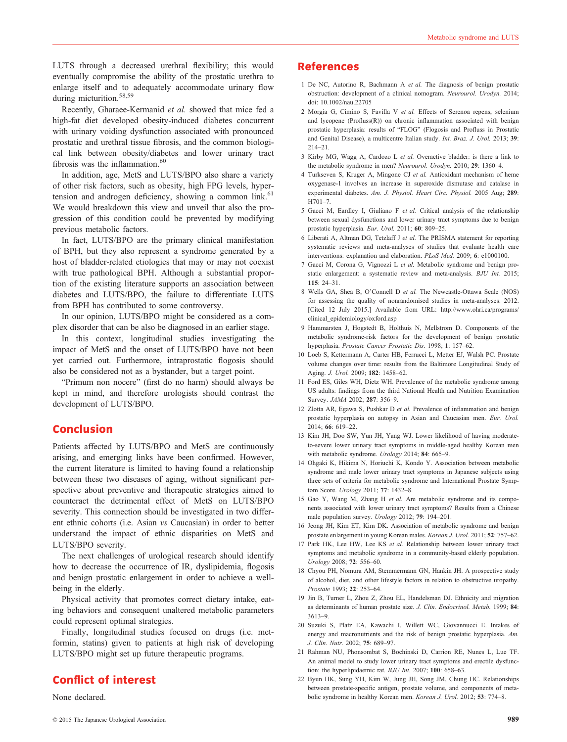LUTS through a decreased urethral flexibility; this would eventually compromise the ability of the prostatic urethra to enlarge itself and to adequately accommodate urinary flow during micturition.<sup>58,59</sup>

Recently, Gharaee-Kermanid et al. showed that mice fed a high-fat diet developed obesity-induced diabetes concurrent with urinary voiding dysfunction associated with pronounced prostatic and urethral tissue fibrosis, and the common biological link between obesity/diabetes and lower urinary tract fibrosis was the inflammation. $60$ 

In addition, age, MetS and LUTS/BPO also share a variety of other risk factors, such as obesity, high FPG levels, hypertension and androgen deficiency, showing a common link.<sup>61</sup> We would breakdown this view and unveil that also the progression of this condition could be prevented by modifying previous metabolic factors.

In fact, LUTS/BPO are the primary clinical manifestation of BPH, but they also represent a syndrome generated by a host of bladder-related etiologies that may or may not coexist with true pathological BPH. Although a substantial proportion of the existing literature supports an association between diabetes and LUTS/BPO, the failure to differentiate LUTS from BPH has contributed to some controversy.

In our opinion, LUTS/BPO might be considered as a complex disorder that can be also be diagnosed in an earlier stage.

In this context, longitudinal studies investigating the impact of MetS and the onset of LUTS/BPO have not been yet carried out. Furthermore, intraprostatic flogosis should also be considered not as a bystander, but a target point.

"Primum non nocere" (first do no harm) should always be kept in mind, and therefore urologists should contrast the development of LUTS/BPO.

#### Conclusion

Patients affected by LUTS/BPO and MetS are continuously arising, and emerging links have been confirmed. However, the current literature is limited to having found a relationship between these two diseases of aging, without significant perspective about preventive and therapeutic strategies aimed to counteract the detrimental effect of MetS on LUTS/BPO severity. This connection should be investigated in two different ethnic cohorts (i.e. Asian vs Caucasian) in order to better understand the impact of ethnic disparities on MetS and LUTS/BPO severity.

The next challenges of urological research should identify how to decrease the occurrence of IR, dyslipidemia, flogosis and benign prostatic enlargement in order to achieve a wellbeing in the elderly.

Physical activity that promotes correct dietary intake, eating behaviors and consequent unaltered metabolic parameters could represent optimal strategies.

Finally, longitudinal studies focused on drugs (i.e. metformin, statins) given to patients at high risk of developing LUTS/BPO might set up future therapeutic programs.

## Conflict of interest

None declared.

#### References

- 1 De NC, Autorino R, Bachmann A et al. The diagnosis of benign prostatic obstruction: development of a clinical nomogram. Neurourol. Urodyn. 2014; doi: 10.1002/nau.22705
- 2 Morgia G, Cimino S, Favilla V et al. Effects of Serenoa repens, selenium and lycopene (Profluss(R)) on chronic inflammation associated with benign prostatic hyperplasia: results of "FLOG" (Flogosis and Profluss in Prostatic and Genital Disease), a multicentre Italian study. Int. Braz. J. Urol. 2013; 39: 214–21.
- 3 Kirby MG, Wagg A, Cardozo L et al. Overactive bladder: is there a link to the metabolic syndrome in men? Neurourol. Urodyn. 2010; 29: 1360–4.
- 4 Turkseven S, Kruger A, Mingone CJ et al. Antioxidant mechanism of heme oxygenase-1 involves an increase in superoxide dismutase and catalase in experimental diabetes. Am. J. Physiol. Heart Circ. Physiol. 2005 Aug; 289: H701–7.
- 5 Gacci M, Eardley I, Giuliano F et al. Critical analysis of the relationship between sexual dysfunctions and lower urinary tract symptoms due to benign prostatic hyperplasia. Eur. Urol. 2011; 60: 809–25.
- 6 Liberati A, Altman DG, Tetzlaff J et al. The PRISMA statement for reporting systematic reviews and meta-analyses of studies that evaluate health care interventions: explanation and elaboration. PLoS Med. 2009; 6: e1000100.
- 7 Gacci M, Corona G, Vignozzi L et al. Metabolic syndrome and benign prostatic enlargement: a systematic review and meta-analysis. BJU Int. 2015;  $115: 24-31$ .
- 8 Wells GA, Shea B, O'Connell D et al. The Newcastle-Ottawa Scale (NOS) for assessing the quality of nonrandomised studies in meta-analyses. 2012. [Cited 12 July 2015.] Available from URL: http://www.ohri.ca/programs/ clinical\_epidemiology/oxford.asp
- 9 Hammarsten J, Hogstedt B, Holthuis N, Mellstrom D. Components of the metabolic syndrome-risk factors for the development of benign prostatic hyperplasia. Prostate Cancer Prostatic Dis. 1998; 1: 157–62.
- 10 Loeb S, Kettermann A, Carter HB, Ferrucci L, Metter EJ, Walsh PC. Prostate volume changes over time: results from the Baltimore Longitudinal Study of Aging. J. Urol. 2009; 182: 1458–62.
- 11 Ford ES, Giles WH, Dietz WH. Prevalence of the metabolic syndrome among US adults: findings from the third National Health and Nutrition Examination Survey. JAMA 2002; 287: 356-9.
- 12 Zlotta AR, Egawa S, Pushkar D et al. Prevalence of inflammation and benign prostatic hyperplasia on autopsy in Asian and Caucasian men. Eur. Urol. 2014; 66: 619–22.
- 13 Kim JH, Doo SW, Yun JH, Yang WJ. Lower likelihood of having moderateto-severe lower urinary tract symptoms in middle-aged healthy Korean men with metabolic syndrome. Urology 2014; 84: 665-9.
- 14 Ohgaki K, Hikima N, Horiuchi K, Kondo Y. Association between metabolic syndrome and male lower urinary tract symptoms in Japanese subjects using three sets of criteria for metabolic syndrome and International Prostate Symptom Score. Urology 2011; 77: 1432–8.
- 15 Gao Y, Wang M, Zhang H et al. Are metabolic syndrome and its components associated with lower urinary tract symptoms? Results from a Chinese male population survey. Urology 2012; 79: 194–201.
- 16 Jeong JH, Kim ET, Kim DK. Association of metabolic syndrome and benign prostate enlargement in young Korean males. Korean J. Urol. 2011; 52: 757–62.
- 17 Park HK, Lee HW, Lee KS et al. Relationship between lower urinary tract symptoms and metabolic syndrome in a community-based elderly population. Urology 2008; 72: 556–60.
- 18 Chyou PH, Nomura AM, Stemmermann GN, Hankin JH. A prospective study of alcohol, diet, and other lifestyle factors in relation to obstructive uropathy. Prostate 1993; 22: 253–64.
- 19 Jin B, Turner L, Zhou Z, Zhou EL, Handelsman DJ. Ethnicity and migration as determinants of human prostate size. J. Clin. Endocrinol. Metab. 1999; 84: 3613–9.
- 20 Suzuki S, Platz EA, Kawachi I, Willett WC, Giovannucci E. Intakes of energy and macronutrients and the risk of benign prostatic hyperplasia. Am. J. Clin. Nutr. 2002; 75: 689–97.
- 21 Rahman NU, Phonsombat S, Bochinski D, Carrion RE, Nunes L, Lue TF. An animal model to study lower urinary tract symptoms and erectile dysfunction: the hyperlipidaemic rat. BJU Int. 2007; 100: 658–63.
- 22 Byun HK, Sung YH, Kim W, Jung JH, Song JM, Chung HC. Relationships between prostate-specific antigen, prostate volume, and components of metabolic syndrome in healthy Korean men. Korean J. Urol. 2012; 53: 774–8.